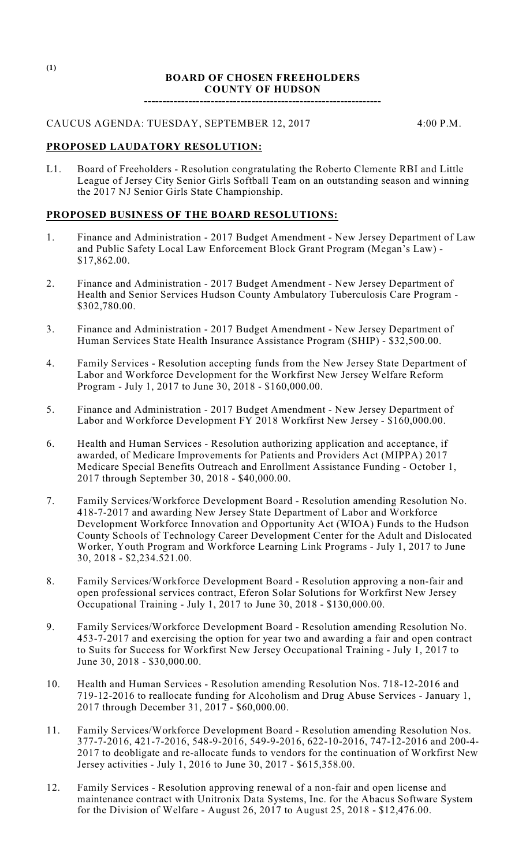#### **BOARD OF CHOSEN FREEHOLDERS COUNTY OF HUDSON**

**----------------------------------------------------------------**

# CAUCUS AGENDA: TUESDAY, SEPTEMBER 12, 2017 4:00 P.M.

## **PROPOSED LAUDATORY RESOLUTION:**

L1. Board of Freeholders - Resolution congratulating the Roberto Clemente RBI and Little League of Jersey City Senior Girls Softball Team on an outstanding season and winning the 2017 NJ Senior Girls State Championship.

# **PROPOSED BUSINESS OF THE BOARD RESOLUTIONS:**

- 1. Finance and Administration 2017 Budget Amendment New Jersey Department of Law and Public Safety Local Law Enforcement Block Grant Program (Megan's Law) - \$17,862.00.
- 2. Finance and Administration 2017 Budget Amendment New Jersey Department of Health and Senior Services Hudson County Ambulatory Tuberculosis Care Program - \$302,780.00.
- 3. Finance and Administration 2017 Budget Amendment New Jersey Department of Human Services State Health Insurance Assistance Program (SHIP) - \$32,500.00.
- 4. Family Services Resolution accepting funds from the New Jersey State Department of Labor and Workforce Development for the Workfirst New Jersey Welfare Reform Program - July 1, 2017 to June 30, 2018 - \$160,000.00.
- 5. Finance and Administration 2017 Budget Amendment New Jersey Department of Labor and Workforce Development FY 2018 Workfirst New Jersey - \$160,000.00.
- 6. Health and Human Services Resolution authorizing application and acceptance, if awarded, of Medicare Improvements for Patients and Providers Act (MIPPA) 2017 Medicare Special Benefits Outreach and Enrollment Assistance Funding - October 1, 2017 through September 30, 2018 - \$40,000.00.
- 7. Family Services/Workforce Development Board Resolution amending Resolution No. 418-7-2017 and awarding New Jersey State Department of Labor and Workforce Development Workforce Innovation and Opportunity Act (WIOA) Funds to the Hudson County Schools of Technology Career Development Center for the Adult and Dislocated Worker, Youth Program and Workforce Learning Link Programs - July 1, 2017 to June 30, 2018 - \$2,234.521.00.
- 8. Family Services/Workforce Development Board Resolution approving a non-fair and open professional services contract, Eferon Solar Solutions for Workfirst New Jersey Occupational Training - July 1, 2017 to June 30, 2018 - \$130,000.00.
- 9. Family Services/Workforce Development Board Resolution amending Resolution No. 453-7-2017 and exercising the option for year two and awarding a fair and open contract to Suits for Success for Workfirst New Jersey Occupational Training - July 1, 2017 to June 30, 2018 - \$30,000.00.
- 10. Health and Human Services Resolution amending Resolution Nos. 718-12-2016 and 719-12-2016 to reallocate funding for Alcoholism and Drug Abuse Services - January 1, 2017 through December 31, 2017 - \$60,000.00.
- 11. Family Services/Workforce Development Board Resolution amending Resolution Nos. 377-7-2016, 421-7-2016, 548-9-2016, 549-9-2016, 622-10-2016, 747-12-2016 and 200-4- 2017 to deobligate and re-allocate funds to vendors for the continuation of Workfirst New Jersey activities - July 1, 2016 to June 30, 2017 - \$615,358.00.
- 12. Family Services Resolution approving renewal of a non-fair and open license and maintenance contract with Unitronix Data Systems, Inc. for the Abacus Software System for the Division of Welfare - August 26, 2017 to August 25, 2018 - \$12,476.00.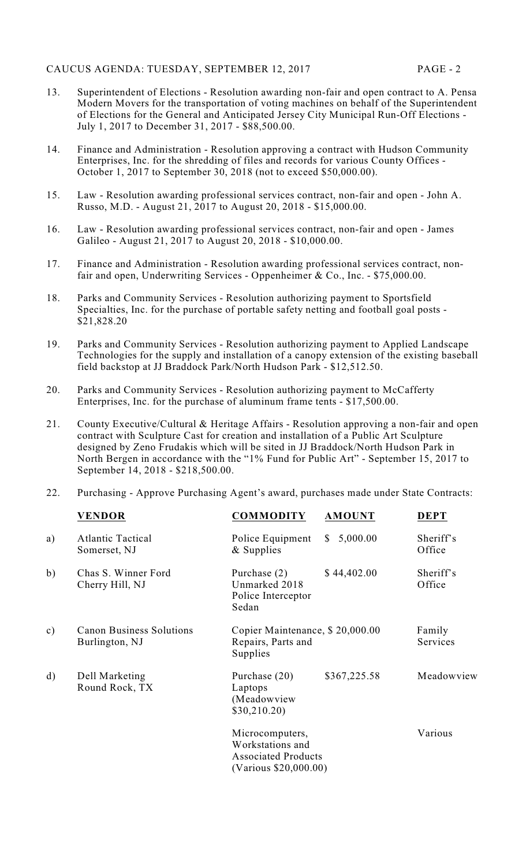- 13. Superintendent of Elections Resolution awarding non-fair and open contract to A. Pensa Modern Movers for the transportation of voting machines on behalf of the Superintendent of Elections for the General and Anticipated Jersey City Municipal Run-Off Elections - July 1, 2017 to December 31, 2017 - \$88,500.00.
- 14. Finance and Administration Resolution approving a contract with Hudson Community Enterprises, Inc. for the shredding of files and records for various County Offices - October 1, 2017 to September 30, 2018 (not to exceed \$50,000.00).
- 15. Law Resolution awarding professional services contract, non-fair and open John A. Russo, M.D. - August 21, 2017 to August 20, 2018 - \$15,000.00.
- 16. Law Resolution awarding professional services contract, non-fair and open James Galileo - August 21, 2017 to August 20, 2018 - \$10,000.00.
- 17. Finance and Administration Resolution awarding professional services contract, nonfair and open, Underwriting Services - Oppenheimer & Co., Inc. - \$75,000.00.
- 18. Parks and Community Services Resolution authorizing payment to Sportsfield Specialties, Inc. for the purchase of portable safety netting and football goal posts - \$21,828.20
- 19. Parks and Community Services Resolution authorizing payment to Applied Landscape Technologies for the supply and installation of a canopy extension of the existing baseball field backstop at JJ Braddock Park/North Hudson Park - \$12,512.50.
- 20. Parks and Community Services Resolution authorizing payment to McCafferty Enterprises, Inc. for the purchase of aluminum frame tents - \$17,500.00.
- 21. County Executive/Cultural & Heritage Affairs Resolution approving a non-fair and open contract with Sculpture Cast for creation and installation of a Public Art Sculpture designed by Zeno Frudakis which will be sited in JJ Braddock/North Hudson Park in North Bergen in accordance with the "1% Fund for Public Art" - September 15, 2017 to September 14, 2018 - \$218,500.00.
- 22. Purchasing Approve Purchasing Agent's award, purchases made under State Contracts:

|               | <b>VENDOR</b>                                     | <b>COMMODITY</b>                                                                           | <b>AMOUNT</b>  | <b>DEPT</b>         |
|---------------|---------------------------------------------------|--------------------------------------------------------------------------------------------|----------------|---------------------|
| a)            | <b>Atlantic Tactical</b><br>Somerset, NJ          | Police Equipment<br>& Supplies                                                             | 5,000.00<br>S. | Sheriff's<br>Office |
| b)            | Chas S. Winner Ford<br>Cherry Hill, NJ            | Purchase $(2)$<br>Unmarked 2018<br>Police Interceptor<br>Sedan                             | \$44,402.00    | Sheriff's<br>Office |
| $\mathbf{c})$ | <b>Canon Business Solutions</b><br>Burlington, NJ | Copier Maintenance, \$20,000.00<br>Repairs, Parts and<br>Supplies                          |                | Family<br>Services  |
| $\mathbf{d}$  | Dell Marketing<br>Round Rock, TX                  | Purchase (20)<br>Laptops<br>(Meadowview<br>\$30,210.20)                                    | \$367,225.58   | Meadowview          |
|               |                                                   | Microcomputers,<br>Workstations and<br><b>Associated Products</b><br>(Various \$20,000.00) |                | Various             |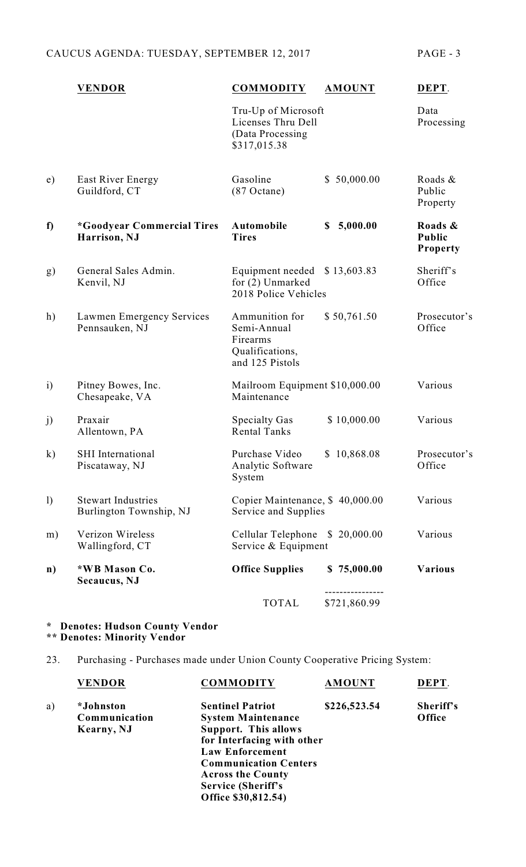# CAUCUS AGENDA: TUESDAY, SEPTEMBER 12, 2017 PAGE - 3

|                  | <b>VENDOR</b>                                        | <b>COMMODITY</b>                                                                | <b>AMOUNT</b>  | DEPT.                                |
|------------------|------------------------------------------------------|---------------------------------------------------------------------------------|----------------|--------------------------------------|
|                  |                                                      | Tru-Up of Microsoft<br>Licenses Thru Dell<br>(Data Processing<br>\$317,015.38   |                | Data<br>Processing                   |
| e)               | East River Energy<br>Guildford, CT                   | Gasoline<br>$(87$ Octane)                                                       | \$50,000.00    | Roads &<br>Public<br>Property        |
| f                | <i>*Goodyear Commercial Tires</i><br>Harrison, NJ    | Automobile<br><b>Tires</b>                                                      | 5,000.00<br>\$ | Roads &<br>Public<br><b>Property</b> |
| g)               | General Sales Admin.<br>Kenvil, NJ                   | Equipment needed<br>for (2) Unmarked<br>2018 Police Vehicles                    | \$13,603.83    | Sheriff's<br>Office                  |
| h)               | Lawmen Emergency Services<br>Pennsauken, NJ          | Ammunition for<br>Semi-Annual<br>Firearms<br>Qualifications,<br>and 125 Pistols | \$50,761.50    | Prosecutor's<br>Office               |
| $\mathbf{i}$     | Pitney Bowes, Inc.<br>Chesapeake, VA                 | Mailroom Equipment \$10,000.00<br>Maintenance                                   |                | Various                              |
| j)               | Praxair<br>Allentown, PA                             | <b>Specialty Gas</b><br><b>Rental Tanks</b>                                     | \$10,000.00    | Various                              |
| $\bf k)$         | <b>SHI</b> International<br>Piscataway, NJ           | Purchase Video<br>Analytic Software<br>System                                   | \$10,868.08    | Prosecutor's<br>Office               |
| $\left( \right)$ | <b>Stewart Industries</b><br>Burlington Township, NJ | Copier Maintenance, \$40,000.00<br>Service and Supplies                         |                | Various                              |
| m)               | Verizon Wireless<br>Wallingford, CT                  | Cellular Telephone<br>Service & Equipment                                       | \$20,000.00    | Various                              |
| $\mathbf{n}$     | *WB Mason Co.<br>Secaucus, NJ                        | <b>Office Supplies</b>                                                          | \$75,000.00    | <b>Various</b>                       |
|                  |                                                      | <b>TOTAL</b>                                                                    | \$721,860.99   |                                      |

#### **\* Denotes: Hudson County Vendor \*\* Denotes: Minority Vendor**

23. Purchasing - Purchases made under Union County Cooperative Pricing System:

|    | <b>VENDOR</b>    | <b>COMMODITY</b>             | <b>AMOUNT</b> | DEPT.     |
|----|------------------|------------------------------|---------------|-----------|
| a) | <i>*Johnston</i> | <b>Sentinel Patriot</b>      | \$226,523.54  | Sheriff's |
|    | Communication    | <b>System Maintenance</b>    |               | Office    |
|    | Kearny, NJ       | <b>Support. This allows</b>  |               |           |
|    |                  | for Interfacing with other   |               |           |
|    |                  | <b>Law Enforcement</b>       |               |           |
|    |                  | <b>Communication Centers</b> |               |           |
|    |                  | <b>Across the County</b>     |               |           |
|    |                  | <b>Service (Sheriff's</b>    |               |           |
|    |                  | Office \$30,812.54)          |               |           |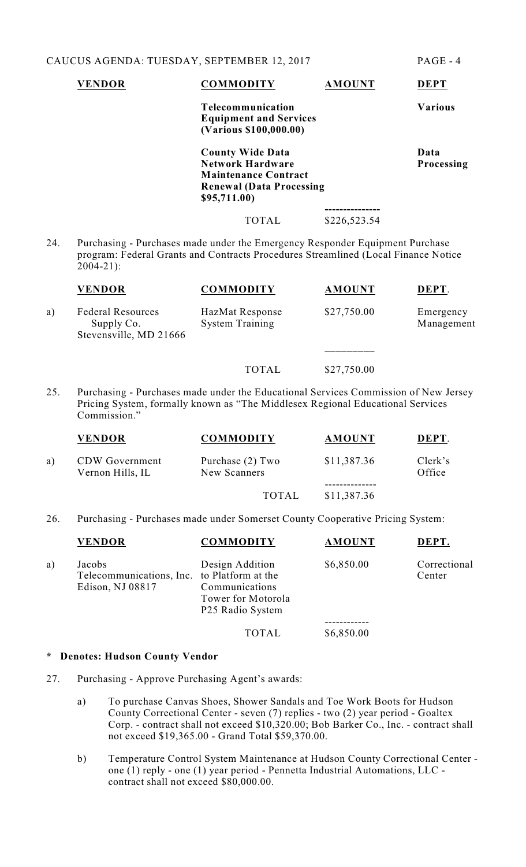|                                                                                                                                                                                            | <b>VENDOR</b>            | <b>COMMODITY</b>                                                                                                                     | <b>AMOUNT</b> | <b>DEPT</b>               |
|--------------------------------------------------------------------------------------------------------------------------------------------------------------------------------------------|--------------------------|--------------------------------------------------------------------------------------------------------------------------------------|---------------|---------------------------|
|                                                                                                                                                                                            |                          | Telecommunication<br><b>Equipment and Services</b><br>(Various \$100,000.00)                                                         |               | <b>Various</b>            |
|                                                                                                                                                                                            |                          | <b>County Wide Data</b><br><b>Network Hardware</b><br><b>Maintenance Contract</b><br><b>Renewal (Data Processing</b><br>\$95,711.00) |               | Data<br><b>Processing</b> |
|                                                                                                                                                                                            |                          | <b>TOTAL</b>                                                                                                                         | \$226,523.54  |                           |
| 24.<br>Purchasing - Purchases made under the Emergency Responder Equipment Purchase<br>program: Federal Grants and Contracts Procedures Streamlined (Local Finance Notice<br>$2004 - 21$ : |                          |                                                                                                                                      |               |                           |
|                                                                                                                                                                                            | <b>VENDOR</b>            | <b>COMMODITY</b>                                                                                                                     | <b>AMOUNT</b> | DEPT.                     |
| a)                                                                                                                                                                                         | <b>Federal Resources</b> | HazMat Response                                                                                                                      | \$27,750.00   | Emergency                 |

TOTAL \$27,750.00 25. Purchasing - Purchases made under the Educational Services Commission of New Jersey Pricing System, formally known as "The Middlesex Regional Educational Services Commission."

Supply Co. System Training Management

\_\_\_\_\_\_\_\_\_

|    | <b>VENDOR</b>                             | <b>COMMODITY</b>                 | <b>AMOUNT</b> | DEPT.             |
|----|-------------------------------------------|----------------------------------|---------------|-------------------|
| a) | <b>CDW</b> Government<br>Vernon Hills, IL | Purchase (2) Two<br>New Scanners | \$11,387.36   | Clerk's<br>Office |
|    |                                           | <b>TOTAL</b>                     | \$11,387.36   |                   |

26. Purchasing - Purchases made under Somerset County Cooperative Pricing System:

|    | <b>VENDOR</b>                                                             | <b>COMMODITY</b>                                                                        | <b>AMOUNT</b> | DEPT.                  |
|----|---------------------------------------------------------------------------|-----------------------------------------------------------------------------------------|---------------|------------------------|
| a) | Jacobs<br>Telecommunications, Inc. to Platform at the<br>Edison, NJ 08817 | Design Addition<br>Communications<br>Tower for Motorola<br>P <sub>25</sub> Radio System | \$6,850.00    | Correctional<br>Center |
|    |                                                                           |                                                                                         |               |                        |
|    |                                                                           | <b>TOTAL</b>                                                                            | \$6,850.00    |                        |

#### **\* Denotes: Hudson County Vendor**

Stevensville, MD 21666

- 27. Purchasing Approve Purchasing Agent's awards:
	- a) To purchase Canvas Shoes, Shower Sandals and Toe Work Boots for Hudson County Correctional Center - seven (7) replies - two (2) year period - Goaltex Corp. - contract shall not exceed \$10,320.00; Bob Barker Co., Inc. - contract shall not exceed \$19,365.00 - Grand Total \$59,370.00.
	- b) Temperature Control System Maintenance at Hudson County Correctional Center one (1) reply - one (1) year period - Pennetta Industrial Automations, LLC contract shall not exceed \$80,000.00.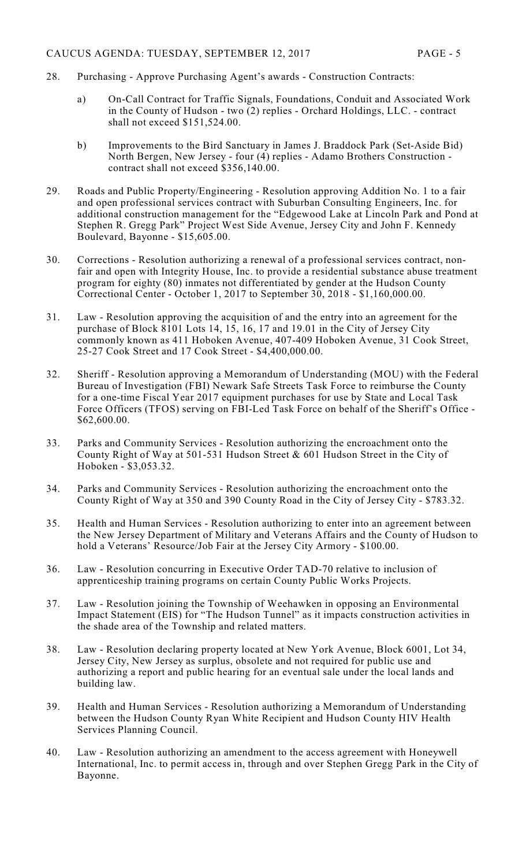- 28. Purchasing Approve Purchasing Agent's awards Construction Contracts:
	- a) On-Call Contract for Traffic Signals, Foundations, Conduit and Associated Work in the County of Hudson - two (2) replies - Orchard Holdings, LLC. - contract shall not exceed \$151,524.00.
	- b) Improvements to the Bird Sanctuary in James J. Braddock Park (Set-Aside Bid) North Bergen, New Jersey - four (4) replies - Adamo Brothers Construction contract shall not exceed \$356,140.00.
- 29. Roads and Public Property/Engineering Resolution approving Addition No. 1 to a fair and open professional services contract with Suburban Consulting Engineers, Inc. for additional construction management for the "Edgewood Lake at Lincoln Park and Pond at Stephen R. Gregg Park" Project West Side Avenue, Jersey City and John F. Kennedy Boulevard, Bayonne - \$15,605.00.
- 30. Corrections Resolution authorizing a renewal of a professional services contract, nonfair and open with Integrity House, Inc. to provide a residential substance abuse treatment program for eighty (80) inmates not differentiated by gender at the Hudson County Correctional Center - October 1, 2017 to September 30, 2018 - \$1,160,000.00.
- 31. Law Resolution approving the acquisition of and the entry into an agreement for the purchase of Block 8101 Lots 14, 15, 16, 17 and 19.01 in the City of Jersey City commonly known as 411 Hoboken Avenue, 407-409 Hoboken Avenue, 31 Cook Street, 25-27 Cook Street and 17 Cook Street - \$4,400,000.00.
- 32. Sheriff Resolution approving a Memorandum of Understanding (MOU) with the Federal Bureau of Investigation (FBI) Newark Safe Streets Task Force to reimburse the County for a one-time Fiscal Year 2017 equipment purchases for use by State and Local Task Force Officers (TFOS) serving on FBI-Led Task Force on behalf of the Sheriff's Office - \$62,600.00.
- 33. Parks and Community Services Resolution authorizing the encroachment onto the County Right of Way at 501-531 Hudson Street & 601 Hudson Street in the City of Hoboken - \$3,053.32.
- 34. Parks and Community Services Resolution authorizing the encroachment onto the County Right of Way at 350 and 390 County Road in the City of Jersey City - \$783.32.
- 35. Health and Human Services Resolution authorizing to enter into an agreement between the New Jersey Department of Military and Veterans Affairs and the County of Hudson to hold a Veterans' Resource/Job Fair at the Jersey City Armory - \$100.00.
- 36. Law Resolution concurring in Executive Order TAD-70 relative to inclusion of apprenticeship training programs on certain County Public Works Projects.
- 37. Law Resolution joining the Township of Weehawken in opposing an Environmental Impact Statement (EIS) for "The Hudson Tunnel" as it impacts construction activities in the shade area of the Township and related matters.
- 38. Law Resolution declaring property located at New York Avenue, Block 6001, Lot 34, Jersey City, New Jersey as surplus, obsolete and not required for public use and authorizing a report and public hearing for an eventual sale under the local lands and building law.
- 39. Health and Human Services Resolution authorizing a Memorandum of Understanding between the Hudson County Ryan White Recipient and Hudson County HIV Health Services Planning Council.
- 40. Law Resolution authorizing an amendment to the access agreement with Honeywell International, Inc. to permit access in, through and over Stephen Gregg Park in the City of Bayonne.